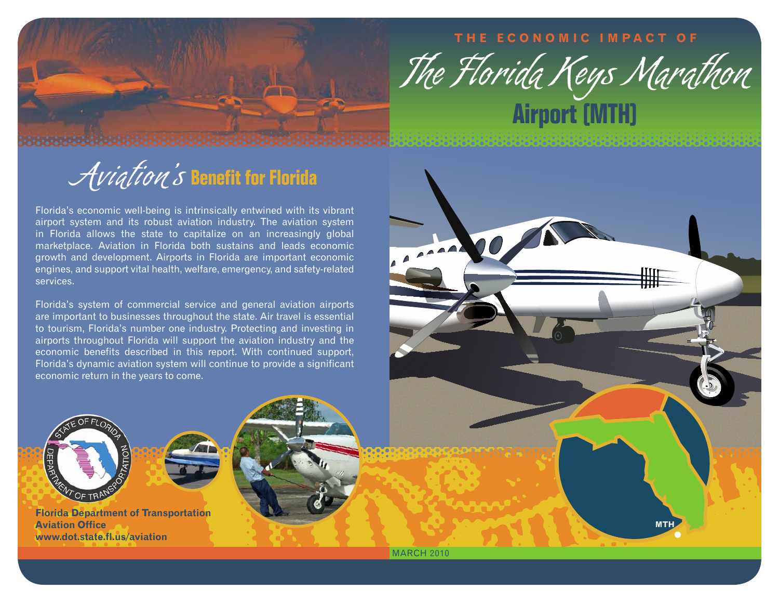## **T h e E c o n o m i c I m p a c t O f**



**MTH**

## Aviation's **Benefit for Florida**

Florida's economic well-being is intrinsically entwined with its vibrant airport system and its robust aviation industry. The aviation system in Florida allows the state to capitalize on an increasingly global marketplace. Aviation in Florida both sustains and leads economic growth and development. Airports in Florida are important economic engines, and support vital health, welfare, emergency, and safety-related services.

Florida's system of commercial service and general aviation airports are important to businesses throughout the state. Air travel is essential to tourism, Florida's number one industry. Protecting and investing in airports throughout Florida will support the aviation industry and the economic benefits described in this report. With continued support, Florida's dynamic aviation system will continue to provide a significant economic return in the years to come.



**Florida Department of Transportation Aviation Office www.dot.state.fl.us/aviation**